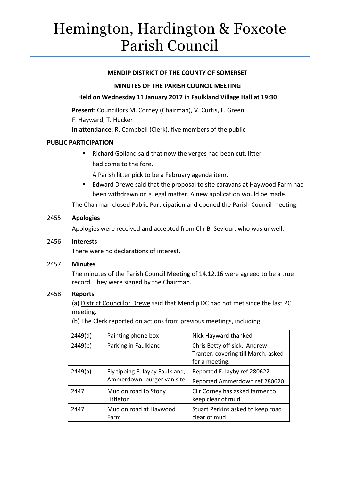# Hemington, Hardington & Foxcote Parish Council

## **MENDIP DISTRICT OF THE COUNTY OF SOMERSET**

## **MINUTES OF THE PARISH COUNCIL MEETING**

## **Held on Wednesday 11 January 2017 in Faulkland Village Hall at 19:30**

**Present**: Councillors M. Corney (Chairman), V. Curtis, F. Green,

F. Hayward, T. Hucker

**In attendance**: R. Campbell (Clerk), five members of the public

## **PUBLIC PARTICIPATION**

■ Richard Golland said that now the verges had been cut, litter had come to the fore.

A Parish litter pick to be a February agenda item.

**Edward Drewe said that the proposal to site caravans at Haywood Farm had** been withdrawn on a legal matter. A new application would be made.

The Chairman closed Public Participation and opened the Parish Council meeting.

## 2455 **Apologies**

Apologies were received and accepted from Cllr B. Seviour, who was unwell.

### 2456 **Interests**

There were no declarations of interest.

### 2457 **Minutes**

The minutes of the Parish Council Meeting of 14.12.16 were agreed to be a true record. They were signed by the Chairman.

### 2458 **Reports**

(a) District Councillor Drewe said that Mendip DC had not met since the last PC meeting.

(b) The Clerk reported on actions from previous meetings, including:

| 2449(d) | Painting phone box                                            | Nick Hayward thanked                                                                  |
|---------|---------------------------------------------------------------|---------------------------------------------------------------------------------------|
| 2449(b) | Parking in Faulkland                                          | Chris Betty off sick. Andrew<br>Tranter, covering till March, asked<br>for a meeting. |
| 2449(a) | Fly tipping E. layby Faulkland;<br>Ammerdown: burger van site | Reported E. layby ref 280622<br>Reported Ammerdown ref 280620                         |
| 2447    | Mud on road to Stony<br>Littleton                             | Cllr Corney has asked farmer to<br>keep clear of mud                                  |
| 2447    | Mud on road at Haywood<br>Farm                                | Stuart Perkins asked to keep road<br>clear of mud                                     |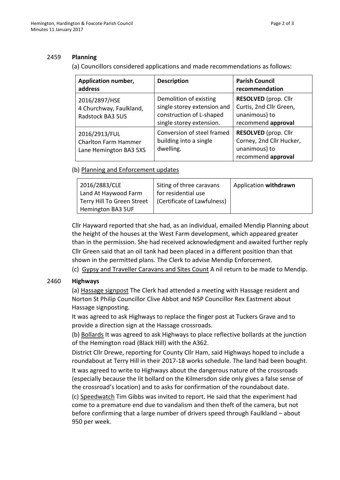## 2459 **Planning**

(a) Councillors considered applications and made recommendations as follows:

| Application number,<br>address                                         | <b>Description</b>                                                                                            | <b>Parish Council</b><br>recommendation                                                        |
|------------------------------------------------------------------------|---------------------------------------------------------------------------------------------------------------|------------------------------------------------------------------------------------------------|
| 2016/2897/HSE<br>4 Churchway, Faulkland,<br>Radstock BA3 5US           | Demolition of existing<br>single storey extension and<br>construction of L-shaped<br>single storey extension. | RESOLVED (prop. Cllr<br>Curtis, 2nd Cllr Green,<br>unanimous) to<br>recommend approval         |
| 2016/2913/FUL<br><b>Charlton Farm Hammer</b><br>Lane Hemington BA3 5XS | Conversion of steel framed<br>building into a single<br>dwelling.                                             | <b>RESOLVED</b> (prop. Cllr<br>Corney, 2nd Cllr Hucker,<br>unanimous) to<br>recommend approval |

## (b) Planning and Enforcement updates

| 2016/2883/CLE              | Siting of three caravans    | Application withdrawn |
|----------------------------|-----------------------------|-----------------------|
| Land At Haywood Farm       | for residential use         |                       |
| Terry Hill To Green Street | (Certificate of Lawfulness) |                       |
| Hemington BA3 5UF          |                             |                       |

Cllr Hayward reported that she had, as an individual, emailed Mendip Planning about the height of the houses at the West Farm development, which appeared greater than in the permission. She had received acknowledgment and awaited further reply Cllr Green said that an oil tank had been placed in a different position than that shown in the permitted plans. The Clerk to advise Mendip Enforcement.

(c) Gypsy and Traveller Caravans and Sites Count A nil return to be made to Mendip.

## 2460 **Highways**

(a) Hassage signpost The Clerk had attended a meeting with Hassage resident and Norton St Philip Councillor Clive Abbot and NSP Councillor Rex Eastment about Hassage signposting.

It was agreed to ask Highways to replace the finger post at Tuckers Grave and to provide a direction sign at the Hassage crossroads.

(b) Bollards It was agreed to ask Highways to place reflective bollards at the junction of the Hemington road (Black Hill) with the A362.

District Cllr Drewe, reporting for County Cllr Ham, said Highways hoped to include a roundabout at Terry Hill in their 2017-18 works schedule. The land had been bought. It was agreed to write to Highways about the dangerous nature of the crossroads (especially because the lit bollard on the Kilmersdon side only gives a false sense of the crossroad's location) and to asks for confirmation of the roundabout date.

(c) Speedwatch Tim Gibbs was invited to report. He said that the experiment had come to a premature end due to vandalism and then theft of the camera, but not before confirming that a large number of drivers speed through Faulkland – about 950 per week.